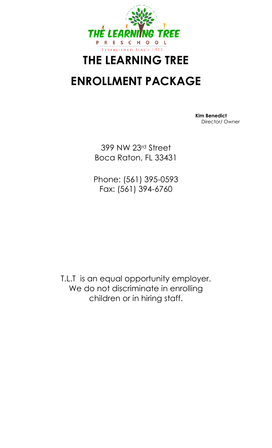

# **THE LEARNING TREE**

## **ENROLLMENT PACKAGE**

 **Kim Benedict** Director/ Owner

399 NW 23rd Street Boca Raton, FL 33431

Phone: (561) 395-0593 Fax: (561) 394-6760

T.L.T is an equal opportunity employer. We do not discriminate in enrolling children or in hiring staff.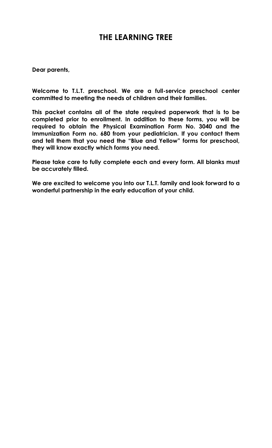### **THE LEARNING TREE**

**Dear parents,**

**Welcome to T.L.T. preschool. We are a full-service preschool center committed to meeting the needs of children and their families.**

**This packet contains all of the state required paperwork that is to be completed prior to enrollment. In addition to these forms, you will be required to obtain the Physical Examination Form No. 3040 and the Immunization Form no. 680 from your pediatrician. If you contact them and tell them that you need the "Blue and Yellow" forms for preschool, they will know exactly which forms you need.**

**Please take care to fully complete each and every form. All blanks must be accurately filled.**

**We are excited to welcome you into our T.L.T. family and look forward to a wonderful partnership in the early education of your child.**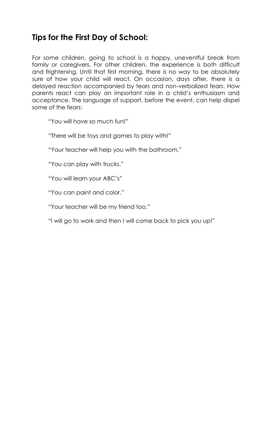## **Tips for the First Day of School:**

For some children, going to school is a happy, uneventful break from family or caregivers. For other children, the experience is both difficult and frightening. Until that first morning, there is no way to be absolutely sure of how your child will react. On occasion, days after, there is a delayed reaction accompanied by tears and non-verbalized fears. How parents react can play an important role in a child's enthusiasm and acceptance. The language of support, before the event, can help dispel some of the fears:

"You will have so much fun!"

"There will be toys and games to play with!"

"Your teacher will help you with the bathroom."

"You can play with trucks."

"You will learn your ABC's"

"You can paint and color."

"Your teacher will be my friend too."

"I will go to work and then I will come back to pick you up!"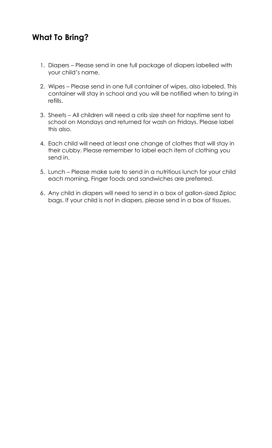### **What To Bring?**

- 1. Diapers Please send in one full package of diapers labelled with your child's name.
- 2. Wipes Please send in one full container of wipes, also labeled. This container will stay in school and you will be notified when to bring in refills.
- 3. Sheets All children will need a crib size sheet for naptime sent to school on Mondays and returned for wash on Fridays. Please label this also.
- 4. Each child will need at least one change of clothes that will stay in their cubby. Please remember to label each item of clothing you send in.
- 5. Lunch Please make sure to send in a nutritious lunch for your child each morning. Finger foods and sandwiches are preferred.
- 6. Any child in diapers will need to send in a box of gallon-sized Ziploc bags. If your child is not in diapers, please send in a box of tissues.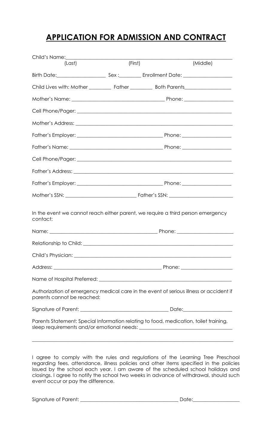### **APPLICATION FOR ADMISSION AND CONTRACT**

| (Last)                                                                                                               |  | (First) | (Middle) |  |
|----------------------------------------------------------------------------------------------------------------------|--|---------|----------|--|
|                                                                                                                      |  |         |          |  |
|                                                                                                                      |  |         |          |  |
|                                                                                                                      |  |         |          |  |
|                                                                                                                      |  |         |          |  |
|                                                                                                                      |  |         |          |  |
|                                                                                                                      |  |         |          |  |
|                                                                                                                      |  |         |          |  |
|                                                                                                                      |  |         |          |  |
|                                                                                                                      |  |         |          |  |
|                                                                                                                      |  |         |          |  |
|                                                                                                                      |  |         |          |  |
|                                                                                                                      |  |         |          |  |
| In the event we cannot reach either parent, we require a third person emergency<br>contact:                          |  |         |          |  |
|                                                                                                                      |  |         |          |  |
|                                                                                                                      |  |         |          |  |
|                                                                                                                      |  |         |          |  |
|                                                                                                                      |  |         |          |  |
|                                                                                                                      |  |         |          |  |
| Authorization of emergency medical care in the event of serious illness or accident if<br>parents cannot be reached: |  |         |          |  |
|                                                                                                                      |  |         |          |  |
| Parents Statement: Special Information relating to food, medication, toilet training,                                |  |         |          |  |

I agree to comply with the rules and regulations of the Learning Tree Preschool regarding fees, attendance, illness policies and other items specified in the policies issued by the school each year. I am aware of the scheduled school holidays and closings. I agree to notify the school two weeks in advance of withdrawal, should such event occur or pay the difference.

Signature of Parent: \_\_\_\_\_\_\_\_\_\_\_\_\_\_\_\_\_\_\_\_\_\_\_\_\_\_\_\_\_\_\_\_\_\_\_\_\_\_\_\_ Date:\_\_\_\_\_\_\_\_\_\_\_\_\_\_\_\_\_\_\_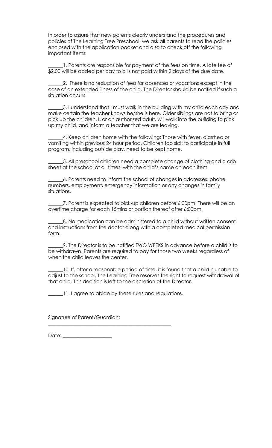In order to assure that new parents clearly understand the procedures and policies of The Learning Tree Preschool, we ask all parents to read the policies enclosed with the application packet and also to check off the following important items:

\_\_\_\_\_\_1. Parents are responsible for payment of the fees on time. A late fee of \$2.00 will be added per day to bills not paid within 2 days of the due date.

\_\_\_\_\_\_2. There is no reduction of fees for absences or vacations except in the case of an extended illness of the child. The Director should be notified if such a situation occurs.

\_\_\_\_\_\_3. I understand that I must walk in the building with my child each day and make certain the teacher knows he/she is here. Older siblings are not to bring or pick up the children. I, or an authorized adult, will walk into the building to pick up my child, and inform a teacher that we are leaving.

\_\_\_\_\_\_4. Keep children home with the following: Those with fever, diarrhea or vomiting within previous 24 hour period. Children too sick to participate in full program, including outside play, need to be kept home.

\_\_\_\_\_\_5. All preschool children need a complete change of clothing and a crib sheet at the school at all times, with the child's name on each item.

\_\_\_\_\_\_6. Parents need to inform the school of changes in addresses, phone numbers, employment, emergency information or any changes in family situations.

\_\_\_\_\_\_7. Parent is expected to pick-up children before 6:00pm. There will be an overtime charge for each 15mins or portion thereof after 6:00pm.

\_\_\_\_\_\_8. No medication can be administered to a child without written consent and instructions from the doctor along with a completed medical permission form.

\_\_\_\_\_\_9. The Director is to be notified TWO WEEKS in advance before a child is to be withdrawn. Parents are required to pay for those two weeks regardless of when the child leaves the center.

\_\_\_\_\_\_10. If, after a reasonable period of time, it is found that a child is unable to adjust to the school, The Learning Tree reserves the right to request withdrawal of that child. This decision is left to the discretion of the Director.

11. I agree to abide by these rules and regulations.

\_\_\_\_\_\_\_\_\_\_\_\_\_\_\_\_\_\_\_\_\_\_\_\_\_\_\_\_\_\_\_\_\_\_\_\_\_\_\_\_\_\_\_\_\_\_\_\_\_\_

Signature of Parent/Guardian:

 $Date:$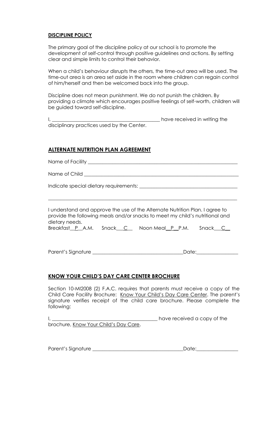#### **DISCIPLINE POLICY**

The primary goal of the discipline policy at our school is to promote the development of self-control through positive guidelines and actions. By setting clear and simple limits to control their behavior.

When a child's behaviour disrupts the others, the time-out area will be used. The time-out area is an area set aside in the room where children can regain control of him/herself and then be welcomed back into the group.

Discipline does not mean punishment. We do not punish the children. By providing a climate which encourages positive feelings of self-worth, children will be guided toward self-discipline.

|                                            | have received in writing the |
|--------------------------------------------|------------------------------|
| disciplinary practices used by the Center. |                              |

#### **ALTERNATE NUTRITION PLAN AGREEMENT**

Name of Facility \_\_\_\_\_\_\_\_\_\_\_\_\_\_\_\_\_\_\_\_\_\_\_\_\_\_\_\_\_\_\_\_\_\_\_\_\_\_\_\_\_\_\_\_\_\_\_\_\_\_\_\_\_\_\_\_\_\_\_\_\_

Name of Child

Indicate special dietary requirements: \_\_\_\_\_\_\_\_\_\_\_\_\_\_\_\_\_\_\_\_\_\_\_\_\_\_\_\_\_\_\_\_\_\_\_\_\_\_\_\_

I understand and approve the use of the Alternate Nutrition Plan. I agree to provide the following meals and/or snacks to meet my child's nutritional and dietary needs.

\_\_\_\_\_\_\_\_\_\_\_\_\_\_\_\_\_\_\_\_\_\_\_\_\_\_\_\_\_\_\_\_\_\_\_\_\_\_\_\_\_\_\_\_\_\_\_\_\_\_\_\_\_\_\_\_\_\_\_\_\_\_\_\_\_\_\_\_\_\_\_\_\_\_\_\_\_

|  |  | Breakfast P A.M. Snack C Noon Meal P P.M. | Snack C_ |
|--|--|-------------------------------------------|----------|
|--|--|-------------------------------------------|----------|

Parent's Signature \_\_\_\_\_\_\_\_\_\_\_\_\_\_\_\_\_\_\_\_\_\_\_\_\_\_\_\_\_\_\_\_\_\_\_\_\_Date:\_\_\_\_\_\_\_\_\_\_\_\_\_\_\_\_\_

#### **KNOW YOUR CHILD'S DAY CARE CENTER BROCHURE**

Section 10-MI2008 (2) F.A.C. requires that parents must receive a copy of the Child Care Facility Brochure: Know Your Child's Day Care Center. The parent's signature verifies receipt of the child care brochure. Please complete the following:

I, \_\_\_\_\_\_\_\_\_\_\_\_\_\_\_\_\_\_\_\_\_\_\_\_\_\_\_\_\_\_\_\_\_\_\_\_\_\_\_\_\_\_\_ have received a copy of the brochure, Know Your Child's Day Care.

Parent's Signature \_\_\_\_\_\_\_\_\_\_\_\_\_\_\_\_\_\_\_\_\_\_\_\_\_\_\_\_\_\_\_\_\_\_\_\_\_Date:\_\_\_\_\_\_\_\_\_\_\_\_\_\_\_\_\_